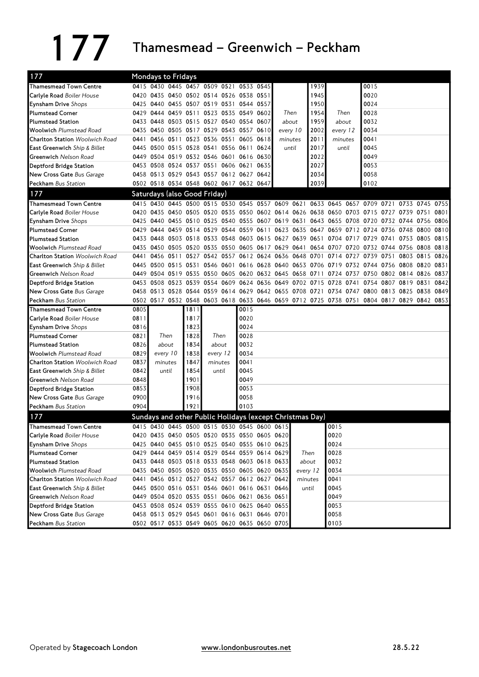## 177 Thamesmead – Greenwich – Peckham

| 177                            | Mondays to Fridays |                     |  |                              |  |          |                                              |          |                                                             |           |          |      |                                                                                           |                     |      |      |
|--------------------------------|--------------------|---------------------|--|------------------------------|--|----------|----------------------------------------------|----------|-------------------------------------------------------------|-----------|----------|------|-------------------------------------------------------------------------------------------|---------------------|------|------|
| <b>Thamesmead Town Centre</b>  |                    |                     |  |                              |  |          | 0415 0430 0445 0457 0509 0521 0533 0545      |          |                                                             | 1939      |          |      | 0015                                                                                      |                     |      |      |
| Carlyle Road Boiler House      |                    |                     |  |                              |  |          | 0420 0435 0450 0502 0514 0526 0538 0551      |          |                                                             | 1945      |          |      | 0020                                                                                      |                     |      |      |
| <b>Eynsham Drive</b> Shops     | 0425               |                     |  |                              |  |          | 0440 0455 0507 0519 0531 0544 0557           |          |                                                             | 1950      |          |      | 0024                                                                                      |                     |      |      |
| <b>Plumstead Corner</b>        |                    |                     |  | 0429 0444 0459 0511          |  |          | 0523 0535 0549 0602                          | Then     |                                                             | 1954      | Then     |      | 0028                                                                                      |                     |      |      |
| <b>Plumstead Station</b>       | 0433               | 0448                |  |                              |  |          | 0503 0515 0527 0540 0554 0607                | about    |                                                             | 1959      | about    |      | 0032                                                                                      |                     |      |      |
| <b>Woolwich Plumstead Road</b> |                    |                     |  |                              |  |          | 0435 0450 0505 0517 0529 0543 0557 0610      | every 10 |                                                             | 2002      | every 12 |      | 0034                                                                                      |                     |      |      |
| Charlton Station Woolwich Road | 0441               |                     |  |                              |  |          | 0456 0511 0523 0536 0551 0605 0618           | minutes  |                                                             | 2011      | minutes  |      | 0041                                                                                      |                     |      |      |
| East Greenwich Ship & Billet   | 0445               |                     |  |                              |  |          | 0500 0515 0528 0541 0556 0611 0624           | until    |                                                             | 2017      | until    |      | 0045                                                                                      |                     |      |      |
| Greenwich Nelson Road          | 0449               |                     |  |                              |  |          | 0504 0519 0532 0546 0601 0616 0630           |          |                                                             | 2022      |          |      | 0049                                                                                      |                     |      |      |
| Deptford Bridge Station        |                    |                     |  |                              |  |          | 0453 0508 0524 0537 0551 0606 0621 0635      |          |                                                             | 2027      |          |      | 0053                                                                                      |                     |      |      |
| New Cross Gate Bus Garage      |                    |                     |  |                              |  |          | 0458 0513 0529 0543 0557 0612 0627 0642      |          |                                                             | 2034      |          |      | 0058                                                                                      |                     |      |      |
| Peckham Bus Station            |                    |                     |  |                              |  |          | 0502 0518 0534 0548 0602 0617 0632 0647      |          |                                                             | 2039      |          |      | 0102                                                                                      |                     |      |      |
| 177                            |                    |                     |  | Saturdays (also Good Friday) |  |          |                                              |          |                                                             |           |          |      |                                                                                           |                     |      |      |
| <b>Thamesmead Town Centre</b>  |                    |                     |  |                              |  |          |                                              |          |                                                             |           |          |      | 0415 0430 0445 0500 0515 0530 0545 0557 0609 0621 0633 0645 0657 0709 0721 0733 0745      |                     |      | 0755 |
| Carlyle Road Boiler House      |                    |                     |  |                              |  |          |                                              |          |                                                             |           |          |      | 0420 0435 0450 0505 0520 0535 0550 0602 0614 0626 0638 0650 0703 0715 0727 0739 0751      |                     |      | 0801 |
| <b>Eynsham Drive</b> Shops     |                    |                     |  |                              |  |          |                                              |          |                                                             |           |          |      | 0425 0440 0455 0510 0525 0540 0555 0607 0619 0631 0643 0655 0708 0720 0732 0744 0756 0806 |                     |      |      |
| <b>Plumstead Corner</b>        | 0429               | 0444                |  |                              |  |          |                                              |          | 0459 0514 0529 0544 0559 0611 0623 0635 0647 0659           |           |          |      | 0712 0724 0736 0748 0800                                                                  |                     |      | 0810 |
| <b>Plumstead Station</b>       |                    |                     |  |                              |  |          |                                              |          | 0433 0448 0503 0518 0533 0548 0603 0615 0627 0639 0651 0704 |           |          |      | 0717 0729 0741 0753 0805                                                                  |                     |      | 0815 |
| <b>Woolwich Plumstead Road</b> | 0435               |                     |  |                              |  |          | 0450 0505 0520 0535 0550 0605 0617 0629 0641 |          |                                                             | 0654 0707 |          |      | 0720 0732 0744 0756 0808                                                                  |                     |      | 0818 |
| Charlton Station Woolwich Road | 0441               |                     |  |                              |  |          |                                              |          | 0456 0511 0527 0542 0557 0612 0624 0636 0648 0701           |           | 0714     |      | 0727 0739 0751                                                                            | 0803 0815           |      | 0826 |
| East Greenwich Ship & Billet   |                    |                     |  |                              |  |          |                                              |          | 0445 0500 0515 0531 0546 0601 0616 0628 0640 0653 0706 0719 |           |          |      | 0732 0744 0756 0808 0820                                                                  |                     |      | 0831 |
| Greenwich Nelson Road          | 0449               |                     |  |                              |  |          |                                              |          | 0504 0519 0535 0550 0605 0620 0632 0645 0658 0711 0724      |           |          |      | 0737 0750 0802 0814 0826 0837                                                             |                     |      |      |
| Deptford Bridge Station        |                    | 0453 0508 0523 0539 |  |                              |  |          |                                              |          | 0554 0609 0624 0636 0649 0702 0715 0728                     |           |          | 0741 |                                                                                           | 0754 0807 0819 0831 |      | 0842 |
| New Cross Gate Bus Garage      |                    |                     |  |                              |  |          |                                              |          | 0458 0513 0528 0544 0559 0614 0629 0642 0655 0708 0721 0734 |           |          |      | 0747 0800 0813 0825                                                                       |                     | 0838 | 0849 |
| Peckham Bus Station            |                    |                     |  |                              |  |          |                                              |          |                                                             |           |          |      | 0502 0517 0532 0548 0603 0618 0633 0646 0659 0712 0725 0738 0751 0804 0817 0829 0842 0853 |                     |      |      |
| <b>Thamesmead Town Centre</b>  | 0805               |                     |  | 1811                         |  |          | 0015                                         |          |                                                             |           |          |      |                                                                                           |                     |      |      |
| Carlyle Road Boiler House      | 0811               |                     |  | 1817                         |  |          | 0020                                         |          |                                                             |           |          |      |                                                                                           |                     |      |      |
| Eynsham Drive Shops            | 0816               |                     |  | 1823                         |  |          | 0024                                         |          |                                                             |           |          |      |                                                                                           |                     |      |      |
| <b>Plumstead Corner</b>        | 0821               | Then                |  | 1828                         |  | Then     | 0028                                         |          |                                                             |           |          |      |                                                                                           |                     |      |      |
| <b>Plumstead Station</b>       | 0826               | about               |  | 1834                         |  | about    | 0032                                         |          |                                                             |           |          |      |                                                                                           |                     |      |      |
| <b>Woolwich Plumstead Road</b> | 0829               | every 10            |  | 1838                         |  | every 12 | 0034                                         |          |                                                             |           |          |      |                                                                                           |                     |      |      |
| Charlton Station Woolwich Road | 0837               | minutes             |  | 1847<br>minutes              |  |          | 0041                                         |          |                                                             |           |          |      |                                                                                           |                     |      |      |
| East Greenwich Ship & Billet   | 0842               | until               |  | 1854                         |  | until    | 0045                                         |          |                                                             |           |          |      |                                                                                           |                     |      |      |
| Greenwich Nelson Road          | 0848               |                     |  | 1901                         |  |          | 0049                                         |          |                                                             |           |          |      |                                                                                           |                     |      |      |
| Deptford Bridge Station        | 0853               |                     |  | 1908                         |  |          | 0053                                         |          |                                                             |           |          |      |                                                                                           |                     |      |      |
| New Cross Gate Bus Garage      | 0900               |                     |  | 1916                         |  |          | 0058                                         |          |                                                             |           |          |      |                                                                                           |                     |      |      |
| Peckham Bus Station            | 0904               |                     |  | 1921                         |  |          | 0103                                         |          |                                                             |           |          |      |                                                                                           |                     |      |      |
| 177                            |                    |                     |  |                              |  |          |                                              |          | Sundays and other Public Holidays (except Christmas Day)    |           |          |      |                                                                                           |                     |      |      |
| <b>Thamesmead Town Centre</b>  |                    |                     |  |                              |  |          | 0415 0430 0445 0500 0515 0530 0545 0600 0615 |          |                                                             |           | 0015     |      |                                                                                           |                     |      |      |
| Carlyle Road Boiler House      |                    |                     |  |                              |  |          | 0420 0435 0450 0505 0520 0535 0550 0605 0620 |          |                                                             |           | 0020     |      |                                                                                           |                     |      |      |
| Eynsham Drive Shops            |                    |                     |  |                              |  |          | 0425 0440 0455 0510 0525 0540 0555 0610 0625 |          |                                                             |           | 0024     |      |                                                                                           |                     |      |      |
| <b>Plumstead Corner</b>        |                    |                     |  |                              |  |          | 0429 0444 0459 0514 0529 0544 0559 0614 0629 |          | Then                                                        |           | 0028     |      |                                                                                           |                     |      |      |
| <b>Plumstead Station</b>       |                    |                     |  |                              |  |          | 0433 0448 0503 0518 0533 0548 0603 0618 0633 |          | about                                                       |           | 0032     |      |                                                                                           |                     |      |      |
| <b>Woolwich Plumstead Road</b> |                    |                     |  |                              |  |          | 0435 0450 0505 0520 0535 0550 0605 0620 0635 |          | every 12                                                    |           | 0034     |      |                                                                                           |                     |      |      |
| Charlton Station Woolwich Road |                    |                     |  |                              |  |          | 0441 0456 0512 0527 0542 0557 0612 0627 0642 |          | minutes                                                     |           | 0041     |      |                                                                                           |                     |      |      |
| East Greenwich Ship & Billet   |                    |                     |  |                              |  |          | 0445 0500 0516 0531 0546 0601 0616 0631 0646 |          | until                                                       |           | 0045     |      |                                                                                           |                     |      |      |
| Greenwich Nelson Road          |                    |                     |  |                              |  |          | 0449 0504 0520 0535 0551 0606 0621 0636 0651 |          |                                                             |           | 0049     |      |                                                                                           |                     |      |      |
| Deptford Bridge Station        |                    |                     |  |                              |  |          | 0453 0508 0524 0539 0555 0610 0625 0640 0655 |          |                                                             |           | 0053     |      |                                                                                           |                     |      |      |
| New Cross Gate Bus Garage      |                    |                     |  |                              |  |          | 0458 0513 0529 0545 0601 0616 0631 0646 0701 |          |                                                             |           | 0058     |      |                                                                                           |                     |      |      |
| Peckham Bus Station            |                    |                     |  |                              |  |          | 0502 0517 0533 0549 0605 0620 0635 0650 0705 |          |                                                             |           | 0103     |      |                                                                                           |                     |      |      |